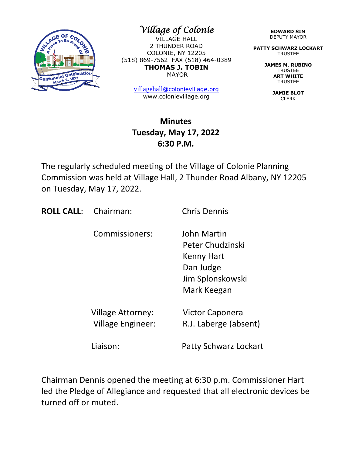

*Village of Colonie* 

VILLAGE HALL 2 THUNDER ROAD COLONIE, NY 12205 (518) 869-7562 FAX (518) 464-0389 **THOMAS J. TOBIN** MAYOR

> [villagehall](mailto:villagehall@colonievillage.org)[@colonievillage.org](mailto:villagehall@colonievillage.org) www.colonievillage.org

## **Minutes Tuesday, May 17, 2022 6:30 P.M.**

The regularly scheduled meeting of the Village of Colonie Planning Commission was held at Village Hall, 2 Thunder Road Albany, NY 12205 on Tuesday, May 17, 2022.

**ROLL CALL:** Chairman: Chris Dennis

Commissioners: John Martin

 Peter Chudzinski Kenny Hart Dan Judge Jim Splonskowski Mark Keegan

Village Attorney: Victor Caponera

Village Engineer: R.J. Laberge (absent)

Liaison: Patty Schwarz Lockart

Chairman Dennis opened the meeting at 6:30 p.m. Commissioner Hart led the Pledge of Allegiance and requested that all electronic devices be turned off or muted.

**EDWARD SIM** DEPUTY MAYOR

**PATTY SCHWARZ LOCKART** TRUSTEE

> **JAMES M. RUBINO** TRUSTEE **ART WHITE TRUSTEE**

> > **JAMIE BLOT** CLERK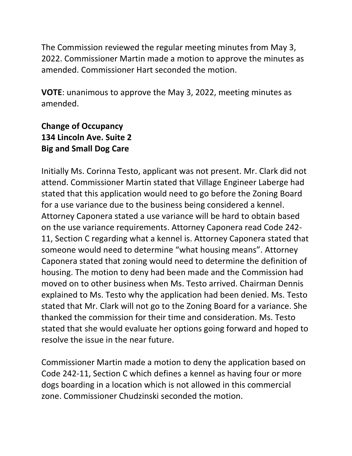The Commission reviewed the regular meeting minutes from May 3, 2022. Commissioner Martin made a motion to approve the minutes as amended. Commissioner Hart seconded the motion.

**VOTE**: unanimous to approve the May 3, 2022, meeting minutes as amended.

# **Change of Occupancy 134 Lincoln Ave. Suite 2 Big and Small Dog Care**

Initially Ms. Corinna Testo, applicant was not present. Mr. Clark did not attend. Commissioner Martin stated that Village Engineer Laberge had stated that this application would need to go before the Zoning Board for a use variance due to the business being considered a kennel. Attorney Caponera stated a use variance will be hard to obtain based on the use variance requirements. Attorney Caponera read Code 242- 11, Section C regarding what a kennel is. Attorney Caponera stated that someone would need to determine "what housing means". Attorney Caponera stated that zoning would need to determine the definition of housing. The motion to deny had been made and the Commission had moved on to other business when Ms. Testo arrived. Chairman Dennis explained to Ms. Testo why the application had been denied. Ms. Testo stated that Mr. Clark will not go to the Zoning Board for a variance. She thanked the commission for their time and consideration. Ms. Testo stated that she would evaluate her options going forward and hoped to resolve the issue in the near future.

Commissioner Martin made a motion to deny the application based on Code 242-11, Section C which defines a kennel as having four or more dogs boarding in a location which is not allowed in this commercial zone. Commissioner Chudzinski seconded the motion.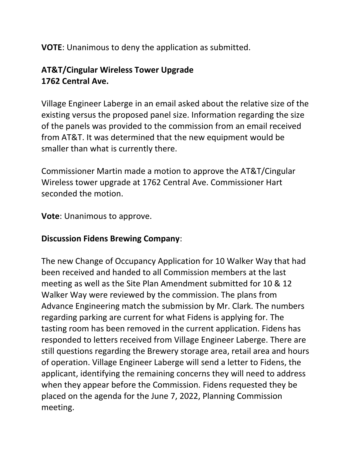**VOTE**: Unanimous to deny the application as submitted.

# **AT&T/Cingular Wireless Tower Upgrade 1762 Central Ave.**

Village Engineer Laberge in an email asked about the relative size of the existing versus the proposed panel size. Information regarding the size of the panels was provided to the commission from an email received from AT&T. It was determined that the new equipment would be smaller than what is currently there.

Commissioner Martin made a motion to approve the AT&T/Cingular Wireless tower upgrade at 1762 Central Ave. Commissioner Hart seconded the motion.

**Vote**: Unanimous to approve.

## **Discussion Fidens Brewing Company**:

The new Change of Occupancy Application for 10 Walker Way that had been received and handed to all Commission members at the last meeting as well as the Site Plan Amendment submitted for 10 & 12 Walker Way were reviewed by the commission. The plans from Advance Engineering match the submission by Mr. Clark. The numbers regarding parking are current for what Fidens is applying for. The tasting room has been removed in the current application. Fidens has responded to letters received from Village Engineer Laberge. There are still questions regarding the Brewery storage area, retail area and hours of operation. Village Engineer Laberge will send a letter to Fidens, the applicant, identifying the remaining concerns they will need to address when they appear before the Commission. Fidens requested they be placed on the agenda for the June 7, 2022, Planning Commission meeting.